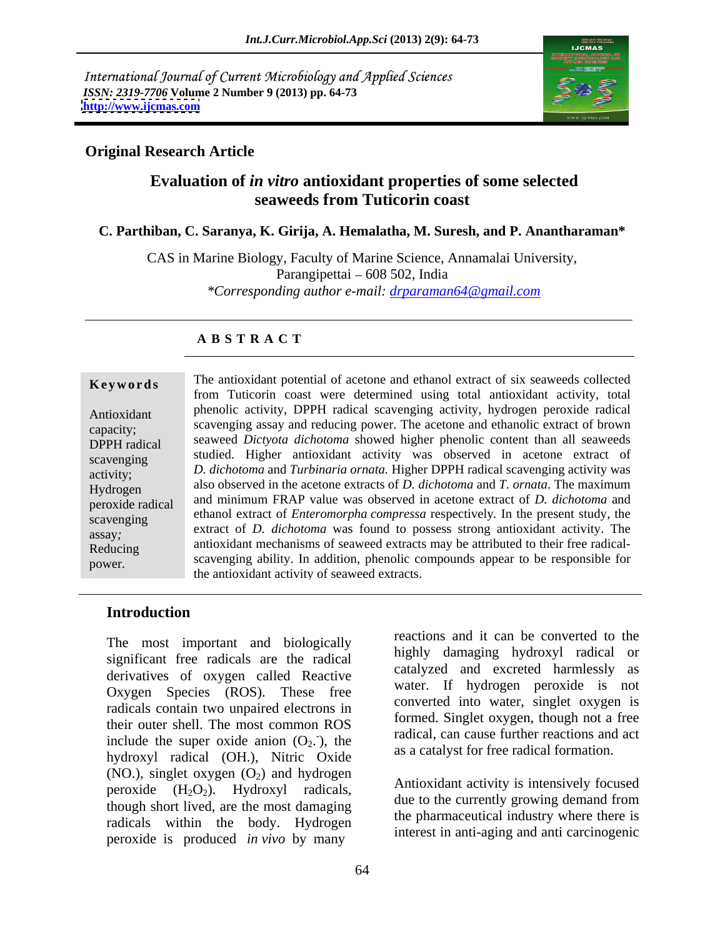International Journal of Current Microbiology and Applied Sciences *ISSN: 2319-7706* **Volume 2 Number 9 (2013) pp. 64-73 <http://www.ijcmas.com>**



### **Original Research Article**

# **Evaluation of** *in vitro* **antioxidant properties of some selected seaweeds from Tuticorin coast**

### **C. Parthiban, C. Saranya, K. Girija, A. Hemalatha, M. Suresh, and P. Anantharaman\***

CAS in Marine Biology, Faculty of Marine Science, Annamalai University, Parangipettai  $-608$  502, India *\*Corresponding author e-mail: drparaman64@gmail.com*

### **A B S T R A C T**

**Keywords** The antioxidant potential of acetone and ethanol extract of six seaweeds collected Antioxidant phenolic activity, DPPH radical scavenging activity, hydrogen peroxide radical scavenging assay and reducing power. The acetone and ethanolic extract of brown capacity; DPPH radical seaweed *Dictyota dichotoma* showed higher phenolic content than all seaweeds scavenging studied. Higher antioxidant activity was observed in acetone extract of activity; *D. dichotoma* and *Turbinaria ornata.* Higher DPPH radical scavenging activity was Hydrogen also observed in the acetone extracts of *D. dichotoma* and *T. ornata*. The maximum peroxide radical and minimum FRAP value was observed in acetone extract of *D. dichotoma* and scavenging ethanol extract of *Enteromorpha compressa* respectively*.* In the present study, the extract of *D. dichotoma* was found to possess strong antioxidant activity. The assay, Reducing antioxidant mechanisms of seaweed extracts may be attributed to their free radical scavenging ability. In addition, phenolic compounds appear to be responsible for power. from Tuticorin coast were determined using total antioxidant activity, total the antioxidant activity of seaweed extracts.

### **Introduction**

The most important and biologically significant free radicals are the radical derivatives of oxygen called Reactive Oxygen Species (ROS). These free radicals contain two unpaired electrons in their outer shell. The most common ROS include the super oxide anion  $(O_2)$ , the hydroxyl radical (OH.), Nitric Oxide (NO.), singlet oxygen  $(O_2)$  and hydrogen peroxide  $(H_2O_2)$ . Hydroxyl radicals, though short lived, are the most damaging radicals within the body. Hydrogen peroxide is produced *in vivo* by many

), the addition, can cause infinite reactions and act reactions and it can be converted to the highly damaging hydroxyl radical or catalyzed and excreted harmlessly as water. If hydrogen peroxide is not converted into water, singlet oxygen is formed. Singlet oxygen, though not a free radical, can cause further reactions and act as a catalyst for free radical formation.

Antioxidant activity is intensively focused due to the currently growing demand from the pharmaceutical industry where there is interest in anti-aging and anti carcinogenic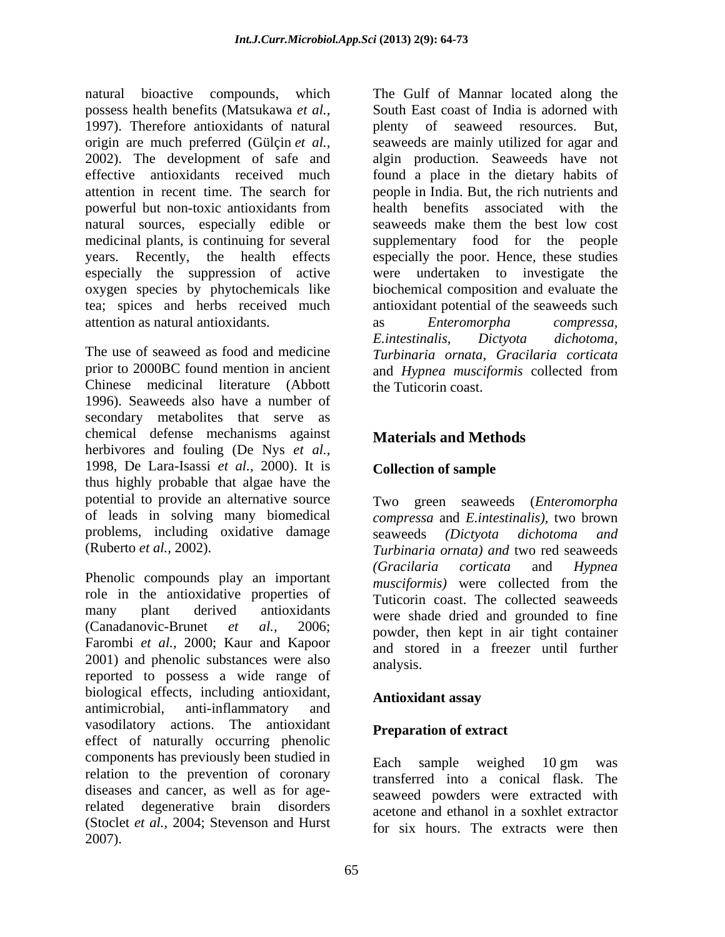natural bioactive compounds, which possess health benefits (Matsukawa *et al.,* 1997). Therefore antioxidants of natural behavior of seaweed resources. But, origin are much preferred (Gülçin *et al.*, seaweeds are mainly utilized for agar and 2002). The development of safe and algin production. Seaweeds have not effective antioxidants received much found a place in the dietary habits of attention in recent time. The search for people in India. But, the rich nutrients and powerful but non-toxic antioxidants from natural sources, especially edible or seaweeds make them the best low cost medicinal plants, is continuing for several years. Recently, the health effects especially the poor. Hence, these studies especially the suppression of active oxygen species by phytochemicals like tea; spices and herbs received much antioxidant potential of the seaweeds such attention as natural antioxidants.

Chinese medicinal literature (Abbott 1996). Seaweeds also have a number of secondary metabolites that serve as chemical defense mechanisms against herbivores and fouling (De Nys *et al.,* 1998, De Lara-Isassi *et al.,* 2000). It is thus highly probable that algae have the potential to provide an alternative source Two green seaweeds (*Enteromorpha* of leads in solving many biomedical *compressa* and *E.intestinalis),* two brown problems, including oxidative damage seaweeds (Dictyota dichotoma and

role in the antioxidative properties of many plant derived antioxidants were shade dried and grounded to fine (Canadanovic-Brunet *et al.,* 2006; powder, then kept in air tight container Farombi *et al.,* 2000; Kaur and Kapoor 2001) and phenolic substances were also analysis. reported to possess a wide range of biological effects, including antioxidant, **Antioxidant assay** antimicrobial, anti-inflammatory and vasodilatory actions. The antioxidant effect of naturally occurring phenolic components has previously been studied in Each sample weighed 10 gm was relation to the prevention of coronary diseases and cancer, as well as for agerelated degenerative brain disorders acetone and ethanol in a soxhlet extractor (Stoclet *et al.,* 2004; Stevenson and Hurst 2007).

The use of seaweed as food and medicine *Turbinaria ornata, Gracilaria corticata* prior to 2000BC found mention in ancient and *Hypnea musciformis* collected from The Gulf of Mannar located along the South East coast of India is adorned with plenty of seaweed resources. health benefits associated with the seaweeds make them the best low cost supplementary food for the people were undertaken to investigate the biochemical composition and evaluate the as *Enteromorpha compressa, E.intestinalis, Dictyota dichotoma,* the Tuticorin coast.

# **Materials and Methods**

# **Collection of sample**

(Ruberto *et al.,* 2002). *Turbinaria ornata) and* two red seaweeds Phenolic compounds play an important (Gracilaria corticata and Hypnea musciformis) were collected from the seaweeds *(Dictyota dichotoma and (Gracilaria corticata* and *Hypnea musciformis)* were collected from the Tuticorin coast. The collected seaweeds and stored in a freezer until further analysis.

# **Antioxidant assay**

# **Preparation of extract**

Each sample weighed 10 gm was transferred into a conical flask. The seaweed powders were extracted with for six hours. The extracts were then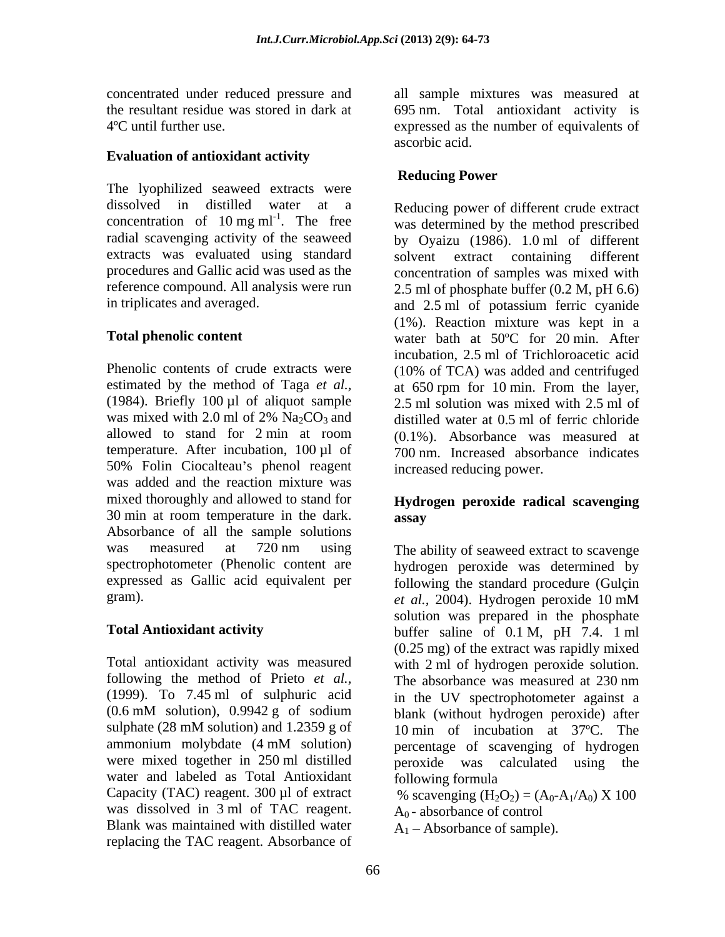concentrated under reduced pressure and all sample mixtures was measured at the resultant residue was stored in dark at 695 nm. Total antioxidant activity is 4ºC until further use. expressed as the number of equivalents of

### **Evaluation of antioxidant activity**

The lyophilized seaweed extracts were dissolved in distilled water at a Reducing power of different crude extract concentration of 10 mg  $ml^{-1}$ . The free extracts was evaluated using standard solvent extract containing different

Phenolic contents of crude extracts were (10% of TCA) was added and centrifuged estimated by the method of Taga *et al.,* (1984). Briefly 100 µl of aliquot sample was mixed with 2.0 ml of 2%  $Na<sub>2</sub>CO<sub>3</sub>$  and distilled water at 0.5 ml of ferric chloride allowed to stand for 2 min at room (0.1%). Absorbance was measured at temperature. After incubation, 100 µl of 50% Folin Ciocalteau's phenol reagent was added and the reaction mixture was mixed thoroughly and allowed to stand for  $30 \text{ min}$  at room temperature in the dark.  $\qquad \qquad \text{assav}$ Absorbance of all the sample solutions

following the method of Prieto *et al.,* were mixed together in 250 ml distilled beroxide was calculated using the water and labeled as Total Antioxidant following formula Capacity (TAC) reagent. 300 µl of extract  $\%$  scavenging (H<sub>2</sub>O<sub>2</sub>) = (A<sub>0</sub>-A<sub>1</sub>/A<sub>0</sub>) X 100 was dissolved in 3 ml of TAC reagent. Blank was maintained with distilled water replacing the TAC reagent. Absorbance of

ascorbic acid.

### **Reducing Power**

. The free was determined by the method prescribed radial scavenging activity of the seaweed by Oyaizu (1986). 1.0 ml of different procedures and Gallic acid was used as the concentration of samples was mixed with reference compound. All analysis were run 2.5 ml of phosphate buffer (0.2 M, pH 6.6) in triplicates and averaged. and 2.5 ml of potassium ferric cyanide **Total phenolic content** water bath at 50°C for 20 min. After solvent extract containing different (1%). Reaction mixture was kept in a incubation, 2.5 ml of Trichloroacetic acid at 650 rpm for 10 min. From the layer, 2.5 ml solution was mixed with 2.5 ml of distilled water at 0.5 ml of ferric chloride 700 nm. Increased absorbance indicates increased reducing power.

### **Hydrogen peroxide radical scavenging assay**

was measured at 720 nm using The ability of seaweed extract to scavenge spectrophotometer (Phenolic content are hydrogen peroxide was determined by expressed as Gallic acid equivalent per following the standard procedure (Gulçin gram). *et al.,* 2004).Hydrogen peroxide 10 mM **Total Antioxidant activity** buffer saline of 0.1 M, pH 7.4. 1 ml Total antioxidant activity was measured with 2 ml of hydrogen peroxide solution. (1999). To 7.45 ml of sulphuric acid in the UV spectrophotometer against a (0.6 mM solution), 0.9942 g of sodium sulphate (28 mM solution) and 1.2359 g of 10 min of incubation at 37°C. The ammonium molybdate (4 mM solution) The ability of seaweed extract to scavenge solution was prepared in the phosphate (0.25 mg) of the extract was rapidly mixed The absorbance was measured at 230 nm blank (without hydrogen peroxide) after percentage of scavenging of hydrogen peroxide was calculated using the following formula

 $A_0$  - absorbance of control

 $A_1$  – Absorbance of sample).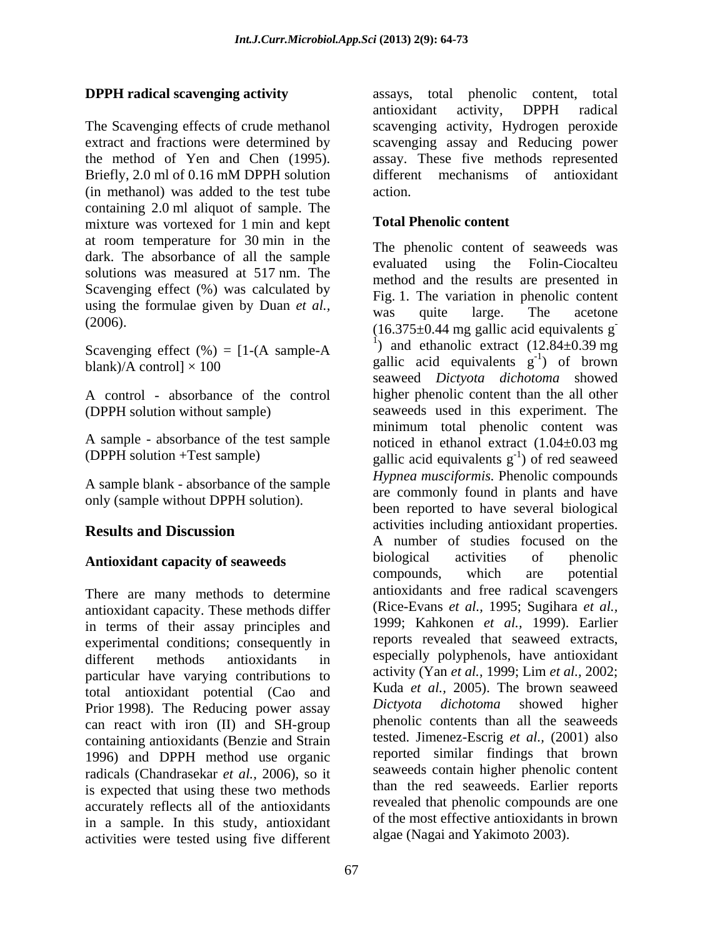The Scavenging effects of crude methanol scavenging activity, Hydrogen peroxide extract and fractions were determined by scavenging assay and Reducing power the method of Yen and Chen (1995). assay. These five methods represented Briefly, 2.0 ml of 0.16 mM DPPH solution different mechanisms of antioxidant (in methanol) was added to the test tube containing 2.0 ml aliquot of sample. The mixture was vortexed for 1 min and kept at room temperature for 30 min in the dark. The absorbance of all the sample solutions was measured at 517 nm. The Scavenging effect (%) was calculated by using the formulae given by Duan *et al.*,<br>was quite large. The acetone

Scavenging effect  $(\% ) = [1-(A \; sample-A \; ]$ 

A control - absorbance of the control

A sample blank - absorbance of the sample only (sample without DPPH solution).

There are many methods to determine antioxidant capacity. These methods differ in terms of their assay principles and experimental conditions; consequently in different methods antioxidants in especially polyphenols, have antioxidant particular have varying contributions to total antioxidant potential (Cao and Kuda *et al.*, 2005). The brown seaweed<br>Prior 1998) The Beducing power assay *Dictvota dichotoma* showed higher Prior 1998). The Reducing power assay can react with iron (II) and SH-group containing antioxidants (Benzie and Strain 1996) and DPPH method use organic radicals (Chandrasekar *et al.,* 2006), so it is expected that using these two methods accurately reflects all of the antioxidants in a sample. In this study, antioxidant activities were tested using five different

**DPPH radical scavenging activity** assays, total phenolic content, total antioxidant activity, DPPH radical different mechanisms of antioxidant action.

### **Total Phenolic content**

 $(2006)$ . (16.375 $\pm$ 0.44 mg gallic acid equivalents g<sup>-</sup> blank)/A control]  $\times$  100 gallic acid equivalents g<sup>-1</sup>) of brown (DPPH solution without sample) seaweeds used in this experiment. The A sample - absorbance of the test sample noticed in ethanol extract (1.04±0.03 mg (DPPH solution +Test sample) gallic acid equivalents  $g^{-1}$ ) of red seaweed **Results and Discussion** accounts and accounts including antioxidant properties. **Antioxidant capacity of seaweeds** biological activities of phenolic compounds, which are potential The phenolic content of seaweeds was evaluated using the Folin-Ciocalteu method and the results are presented in Fig. 1. The variation in phenolic content was quite large. The acetone **-** Andrew March 2014 <sup>1</sup>) and ethanolic extract  $(12.84 \pm 0.39 \text{ mg})$  $-1$  of hrown ) of brown seaweed *Dictyota dichotoma* showed higher phenolic content than the all other minimum total phenolic content was  $^{-1}$ ) of rod soowood ) of red seaweed *Hypnea musciformis.* Phenolic compounds are commonly found in plants and have been reported to have several biological activities including antioxidant properties. A number of studies focused on the biological activities of phenolic compounds, which are potential antioxidants and free radical scavengers (Rice-Evans *et al.,* 1995; Sugihara *et al.,* 1999; Kahkonen *et al.,* 1999). Earlier reports revealed that seaweed extracts, especially polyphenols, have antioxidant activity (Yan *et al.,* 1999; Lim *et al.,* 2002; Kuda *et al.,* 2005). The brown seaweed *Dictyota dichotoma* showed higher phenolic contents than all the seaweeds tested. Jimenez-Escrig *et al.,* (2001) also reported similar findings that brown seaweeds contain higher phenolic content than the red seaweeds. Earlier reports revealed that phenolic compounds are one of the most effective antioxidants in brown algae (Nagai and Yakimoto 2003).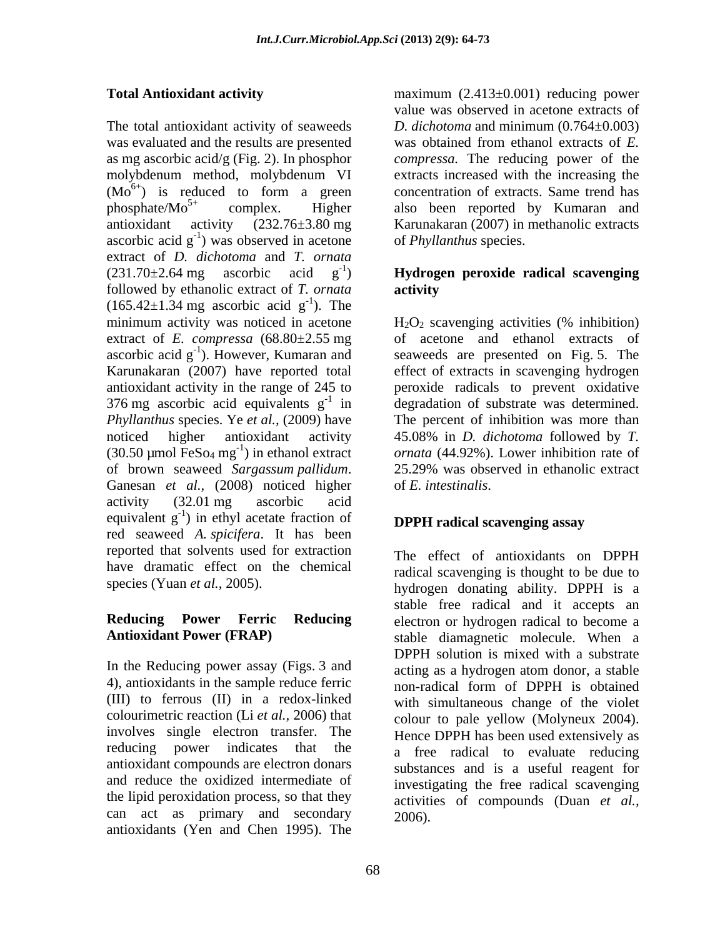The total antioxidant activity of seaweeds was evaluated and the results are presented was obtained from ethanol extracts of *E.*  as mg ascorbic acid/g (Fig. 2). In phosphor *compressa.* The reducing power of the molybdenum method, molybdenum VI extracts increased with the increasing the  $(Mo<sup>6+</sup>)$  is reduced to form a green concentration of extracts. Same trend has phosphate/Mo<sup>5+</sup> complex. Higher also been reported by Kumaran and antioxidant activity (232.76±3.80 mg Karunakaran (2007) in methanolic extracts ascorbic acid  $g^{-1}$ ) was observed in acetone of *Phyllanthus* species. extract of *D. dichotoma* and *T. ornata* (231.70±2.64 mg ascorbic acid g -1 ) **Hydrogen peroxide radical scavenging** followed by ethanolic extract of *T. ornata*  $(165.42 \pm 1.34 \text{ mg}$  ascorbic acid g<sup>-1</sup>). The minimum activity was noticed in acetone  $-1$  The Theorem is the Theorem in  $\mathbb{Z}$ ). The extract of *E. compressa* (68.80±2.55 mg of acetone and ethanol extracts of ascorbic acid  $g^{-1}$ ). However, Kumaran and seaweeds are presented on Fig. 5. The Karunakaran (2007) have reported total effect of extracts in scavenging hydrogen antioxidant activity in the range of 245 to peroxide radicals to prevent oxidative 376 mg ascorbic acid equivalents  $g^{-1}$  in degradation of substrate was determined. *Phyllanthus* species. Ye *et al.,* (2009) have The percent of inhibition was more than noticed higher antioxidant activity 45.08% in *D. dichotoma* followed by *T.*  (30.50 µmol FeSo<sub>4</sub> mg<sup>-1</sup>) in ethanol extract *ornata* (44.92%). Lower inhibition rate of of brown seaweed *Sargassum pallidum*. 25.29% was observed in ethanolic extract Ganesan *et al.*, (2008) noticed higher of *E. intestinalis.* activity (32.01 mg ascorbic acid equivalent  $g^{-1}$ ) in ethyl acetate fraction of **DPPH** radical scavenging assay red seaweed *A. spicifera*. It has been reported that solvents used for extraction<br>The effect of antioxidants on DPPH have dramatic effect on the chemical

In the Reducing power assay (Figs. 3 and (III) to ferrous (II) in a redox-linked colourimetric reaction (Li *et al.,* 2006) that involves single electron transfer. The reducing power indicates that the and reduce the oxidized intermediate of the lipid peroxidation process, so that they can act as primary and secondary antioxidants (Yen and Chen 1995). The

**Total Antioxidant activity** maximum (2.413±0.001) reducing power value was observed in acetone extracts of *D. dichotoma* and minimum (0.764±0.003) concentration of extracts. Same trend has of *Phyllanthus* species.

# **activity**

 $H_2O_2$  scavenging activities (% inhibition)  $H_2O_2$  scavenging activities (% inhibition) *ornata* (44.92%). Lower inhibition rate of<br>25.29% was observed in ethanolic extract of *E. intestinalis*.

# **DPPH radical scavenging assay**

species (Yuan *et al.*, 2005). hydrogen donating ability. DPPH is a **Reducing Power Ferric Reducing** electron or hydrogen radical to become a **Antioxidant Power (FRAP)** stable diamagnetic molecule. When a 4), antioxidants in the sample reduce ferric non-radical form of DPPH is obtained antioxidant compounds are electron donars substances and is a useful reagent for The effect of antioxidants on DPPH radical scavenging is thought to be due to stable free radical and it accepts an DPPH solution is mixed with a substrate acting as a hydrogen atom donor, a stable with simultaneous change of the violet colour to pale yellow (Molyneux 2004). Hence DPPH has been used extensively as a free radical to evaluate reducing investigating the free radical scavenging activities of compounds (Duan *et al.,* 2006).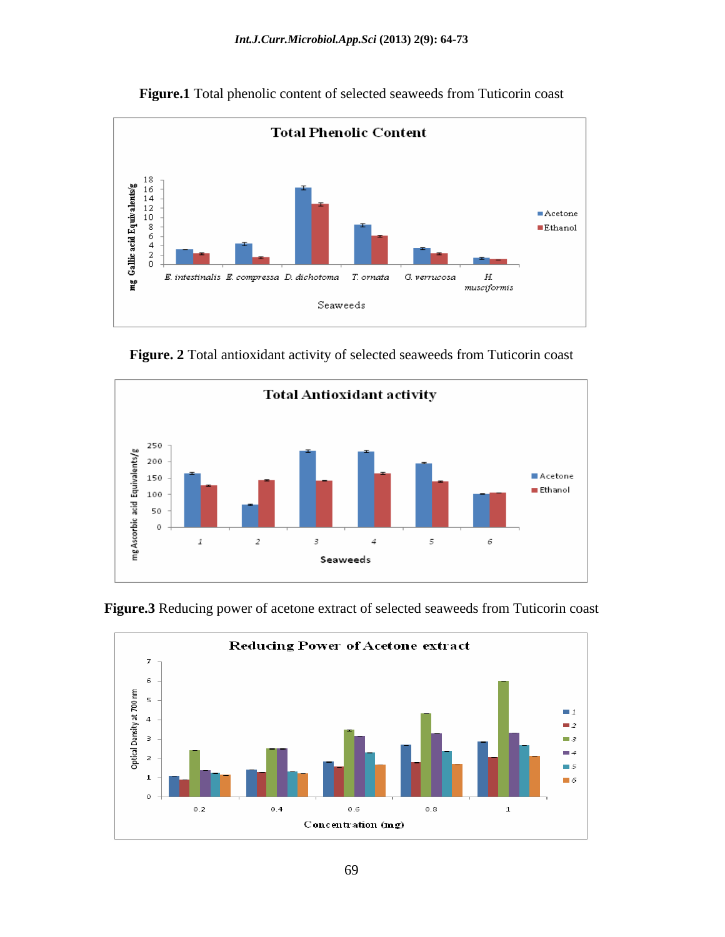

**Figure.1** Total phenolic content of selected seaweeds from Tuticorin coast







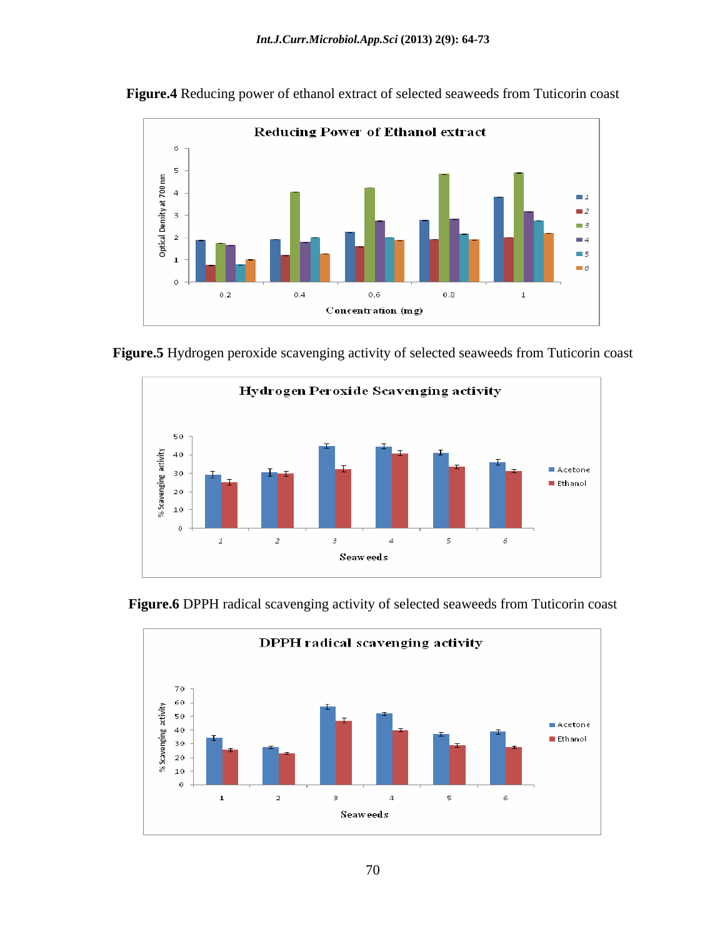

**Figure.4** Reducing power of ethanol extract of selected seaweeds from Tuticorin coast







**Figure.6** DPPH radical scavenging activity of selected seaweeds from Tuticorin coast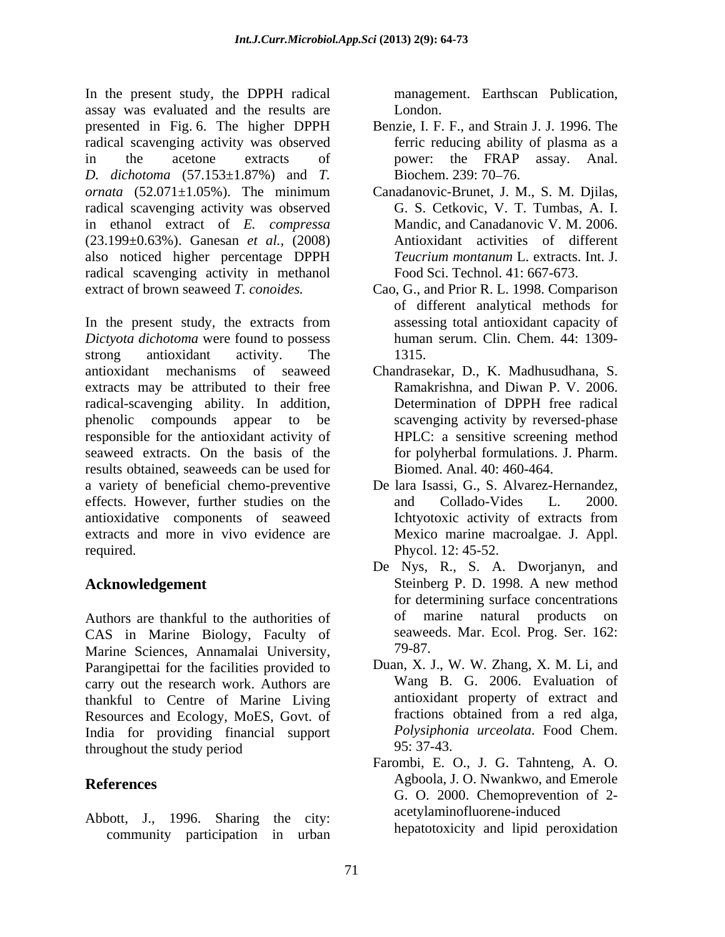In the present study, the DPPH radical assay was evaluated and the results are presented in Fig. 6. The higher DPPH radical scavenging activity was observed in the acetone extracts of power: the FRAP assay. Anal. *D. dichotoma* (57.153±1.87%) and *T. ornata* (52.071±1.05%). The minimum Canadanovic-Brunet, J. M., S. M. Djilas, radical scavenging activity was observed in ethanol extract of *E. compressa* (23.199±0.63%). Ganesan *et al.,* (2008) also noticed higher percentage DPPH radical scavenging activity in methanol extract of brown seaweed *T. conoides.* Cao, G., and Prior R. L. 1998. Comparison

In the present study, the extracts from *Dictyota dichotoma* were found to possess strong antioxidant activity. The 1315. antioxidant mechanisms of seaweed Chandrasekar, D., K. Madhusudhana, S. extracts may be attributed to their free radical-scavenging ability. In addition, phenolic compounds appear to be scavenging activity by reversed-phase responsible for the antioxidant activity of seaweed extracts. On the basis of the results obtained, seaweeds can be used for a variety of beneficial chemo-preventive effects. However, further studies on the and Collado-Vides L. 2000. antioxidative components of seaweed extracts and more in vivo evidence are required. Phycol. 12: 45-52.

Authors are thankful to the authorities of of marine natural products on CAS in Marine Biology, Faculty of seawee<br>Marine Sciences Annamalai University 79-87. Marine Sciences, Annamalai University, Parangipettai for the facilities provided to carry out the research work. Authors are thankful to Centre of Marine Living<br>Resources and Ecology MoES Govt of fractions obtained from a red alga, Resources and Ecology, MoES, Govt. of fractions obtained from a red alga,<br>
India for providing financial support *Polysiphonia urceolata*. Food Chem. India for providing financial support *Polysiphor*<br>throughout the study period 95:37-43 throughout the study period  $95: 37-43$ .

Abbott, J., 1996. Sharing the city: community participation in urban management. Earthscan Publication, London.

- Benzie, I. F. F., and Strain J. J. 1996. The ferric reducing ability of plasma as a Biochem. 239: 70–76.
- Canadanovic-Brunet, J. M., S. M. Djilas, G. S. Cetkovic, V. T. Tumbas, A. I. Mandic, and Canadanovic V. M. 2006. Antioxidant activities of different *Teucrium montanum* L. extracts. Int. J. Food Sci. Technol. 41: 667-673.
- of different analytical methods for assessing total antioxidant capacity of human serum. Clin. Chem. 44: 1309- 1315.
- Ramakrishna, and Diwan P. V. 2006. Determination of DPPH free radical HPLC: a sensitive screening method for polyherbal formulations. J. Pharm. Biomed. Anal. 40: 460-464.
- De lara Isassi, G., S. Alvarez-Hernandez, and Collado-Vides L. 2000.<br>Ichtyotoxic activity of extracts from Mexico marine macroalgae. J. Appl.
- **Acknowledgement**  Steinberg P. D. 1998. A new method De Nys, R., S. A. Dworjanyn, and for determining surface concentrations of marine natural products seaweeds. Mar. Ecol. Prog. Ser. 162: 79-87.
	- Duan, X. J., W. W. Zhang, X. M. Li, and Wang B. G. 2006. Evaluation of antioxidant property of extract and fractions obtained from <sup>a</sup> red alga*, Polysiphonia urceolata*. Food Chem. 95: 37-43.
- **References** Agboola, J. O. Nwankwo, and Emerole Farombi, E. O., J. G. Tahnteng, A. O. G. O. 2000. Chemoprevention of 2 acetylaminofluorene-induced hepatotoxicity and lipid peroxidation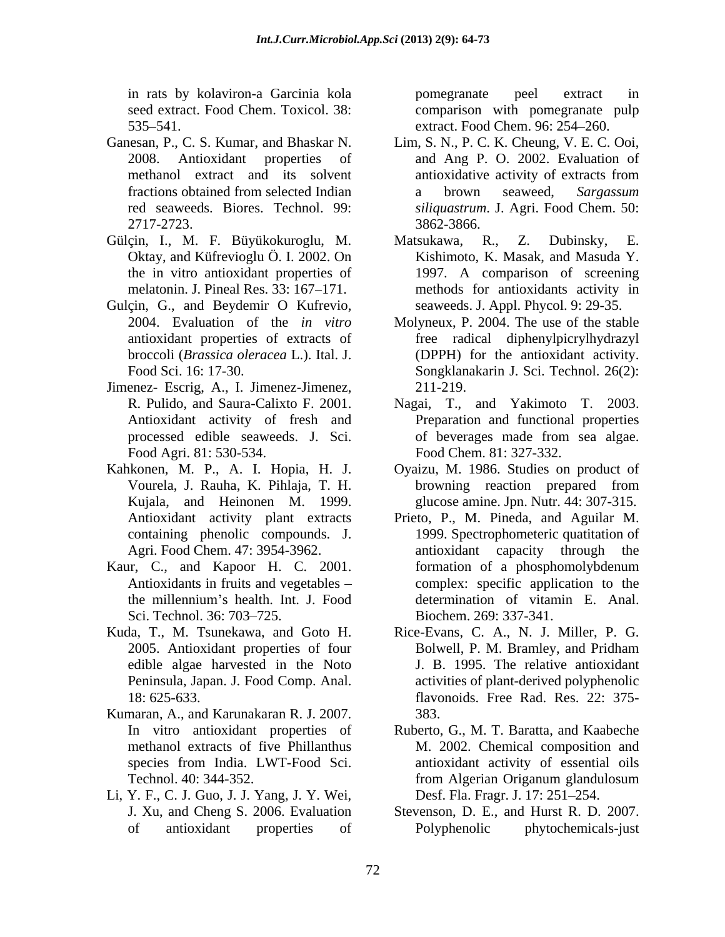in rats by kolaviron-a Garcinia kola 535 541. extract. Food Chem. 96: 254 260.

- 
- Gülçin, I., M. F. Büyükokuroglu, M. Matsukawa, R., Z. Dubinsky, E. Oktay, and Küfrevioglu Ö. I. 2002. On
- Gulçin, G., and Beydemir O Kufrevio,
- Jimenez- Escrig, A., I. Jimenez-Jimenez, Food Agri. 81: 530-534.
- Kahkonen, M. P., A. I. Hopia, H. J. Antioxidant activity plant extracts
- Kaur, C., and Kapoor H. C. 2001. formation of a phosphomolybdenum
- edible algae harvested in the Noto
- Kumaran, A., and Karunakaran R. J. 2007.
- Li, Y. F., C. J. Guo, J. J. Yang, J. Y. Wei,

seed extract. Food Chem. Toxicol. 38: comparison with pomegranate pulp pomegranate peel extract in

- Ganesan, P., C. S. Kumar, and Bhaskar N. Lim, S. N., P. C. K. Cheung, V. E. C. Ooi, 2008. Antioxidant properties of and Ang P. O. 2002. Evaluation of methanol extract and its solvent antioxidative activity of extracts from fractions obtained from selected Indian a brown seaweed, Sargassum red seaweeds. Biores. Technol. 99: *siliquastrum*. J. Agri. Food Chem. 50: 2717-2723. 3862-3866. antioxidative activity of extracts from a brown seaweed, *Sargassum*  3862-3866.
	- the in vitro antioxidant properties of 1997. A comparison of screening melatonin. J. Pineal Res. 33: 167–171. The methods for antioxidants activity in Matsukawa, R., Z. Dubinsky, E. Kishimoto, K. Masak, and Masuda Y. seaweeds. J. Appl. Phycol. 9: 29-35.
	- 2004. Evaluation of the *in vitro* Molyneux, P. 2004. The use of the stable antioxidant properties of extracts of free radical diphenylpicrylhydrazyl broccoli (*Brassica oleracea* L.). Ital. J. (DPPH) for the antioxidant activity. Food Sci. 16: 17-30. Songklanakarin J. Sci. Technol. 26(2): 211-219.
	- R. Pulido, and Saura-Calixto F. 2001. Nagai, T., and Yakimoto T. 2003. Antioxidant activity of fresh and Preparation and functional properties processed edible seaweeds. J. Sci. of beverages made from sea algae. Food Chem. 81: 327-332.
	- Vourela, J. Rauha, K. Pihlaja, T. H. Kujala, and Heinonen M. 1999. glucose amine. Jpn. Nutr. 44: 307-315. Oyaizu, M. 1986. Studies on product of browning reaction prepared from
	- containing phenolic compounds. J. 1999. Spectrophometeric quatitation of Agri. Food Chem. 47: 3954-3962. **antioxident** capacity through the Antioxidants in fruits and vegetables – complex: specific application to the the millennium's health. Int. J. Food determination of vitamin E. Anal. Sci. Technol. 36: 703–725. Biochem. 269: 337-341. Prieto, P., M. Pineda, and Aguilar M. antioxidant capacity through formation of a phosphomolybdenum determination of vitamin E. Anal. Biochem. 269: 337-341.
- Kuda, T., M. Tsunekawa, and Goto H. Rice-Evans, C. A., N. J. Miller, P. G. 2005. Antioxidant properties of four Bolwell, P. M. Bramley, and Pridham Peninsula, Japan. J. Food Comp. Anal. activities of plant-derived polyphenolic 18: 625-633. flavonoids. Free Rad. Res. 22: 375- Bolwell, P. M. Bramley, and Pridham J. B. 1995. The relative antioxidant 383.
	- In vitro antioxidant properties of Ruberto, G., M. T. Baratta, and Kaabeche methanol extracts of five Phillanthus M. 2002. Chemical composition and species from India. LWT-Food Sci. Technol. 40: 344-352. antioxidant activity of essential oils from Algerian Origanum glandulosum Desf. Fla. Fragr. J. 17: 251–254.
	- J. Xu, and Cheng S. 2006. Evaluation Stevenson, D. E., and Hurst R. D. 2007. of antioxidant properties of Polyphenolic phytochemicals-just